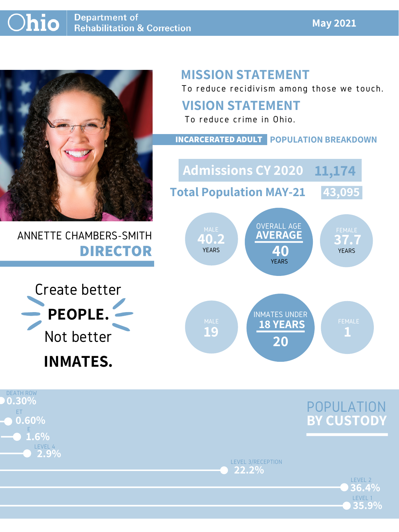#### **May 2021**



# ANNETTE CHAMBERS-SMITH **DIRECTOR**

# **MISSION STATEMENT**

To reduce recidivism among those we touch.



LEVEL 3/RECEPTION **22.2%**



### **VISION STATEMENT**





To reduce crime in Ohio.



#### **INCARCERATED ADULT POPULATION BREAKDOWN**

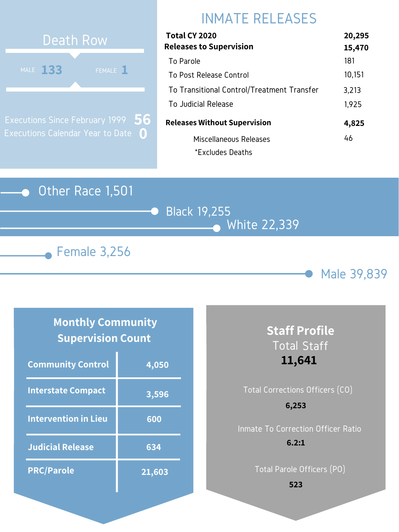### Other Race 1,501

Black 19,255 White 22,339





# INMATE RELEASES



Executions Since February 1999 Executions Calendar Year to Date **0 56**

### **Monthly Community Supervision Count**

| Total CY 2020                              | 20,295 |
|--------------------------------------------|--------|
| <b>Releases to Supervision</b>             | 15,470 |
| To Parole                                  | 181    |
| To Post Release Control                    | 10,151 |
| To Transitional Control/Treatment Transfer | 3,213  |
| To Judicial Release                        | 1,925  |
| <b>Releases Without Supervision</b>        | 4,825  |
| Miscellaneous Releases                     | 46     |
| *Excludes Deaths                           |        |

| <b>Community Control</b>    | 4,050  |
|-----------------------------|--------|
| <b>Interstate Compact</b>   | 3,596  |
| <b>Intervention in Lieu</b> | 600    |
| <b>Judicial Release</b>     | 634    |
| <b>PRC/Parole</b>           | 21,603 |

### **Staff Profile** Total Staff **11,641**

# Total Corrections Officers (CO) Inmate To Correction Officer Ratio **6,253 6.2:1**

Total Parole Officers (PO)

**523**